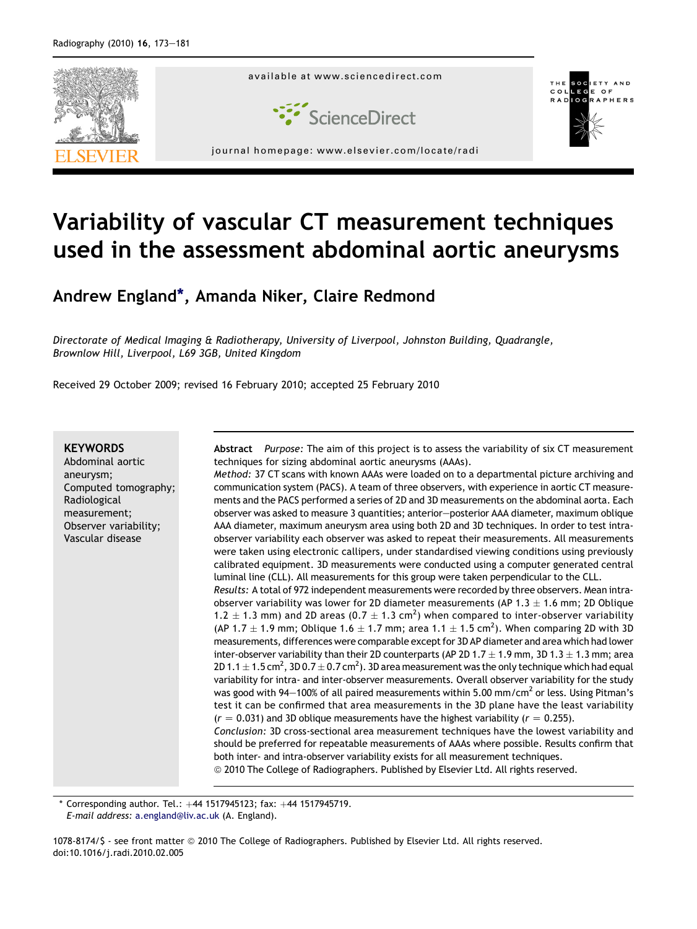

# Variability of vascular CT measurement techniques used in the assessment abdominal aortic aneurysms

Andrew England\*, Amanda Niker, Claire Redmond

Directorate of Medical Imaging & Radiotherapy, University of Liverpool, Johnston Building, Quadrangle, Brownlow Hill, Liverpool, L69 3GB, United Kingdom

Received 29 October 2009; revised 16 February 2010; accepted 25 February 2010

#### **KEYWORDS**

Abdominal aortic aneurysm; Computed tomography; Radiological measurement; Observer variability; Vascular disease

Abstract Purpose: The aim of this project is to assess the variability of six CT measurement techniques for sizing abdominal aortic aneurysms (AAAs).

Method: 37 CT scans with known AAAs were loaded on to a departmental picture archiving and communication system (PACS). A team of three observers, with experience in aortic CT measurements and the PACS performed a series of 2D and 3D measurements on the abdominal aorta. Each observer was asked to measure 3 quantities; anterior-posterior AAA diameter, maximum oblique AAA diameter, maximum aneurysm area using both 2D and 3D techniques. In order to test intraobserver variability each observer was asked to repeat their measurements. All measurements were taken using electronic callipers, under standardised viewing conditions using previously calibrated equipment. 3D measurements were conducted using a computer generated central luminal line (CLL). All measurements for this group were taken perpendicular to the CLL.

Results: A total of 972 independent measurements were recorded by three observers. Mean intraobserver variability was lower for 2D diameter measurements (AP 1.3  $\pm$  1.6 mm; 2D Oblique 1.2  $\pm$  1.3 mm) and 2D areas (0.7  $\pm$  1.3 cm<sup>2</sup>) when compared to inter-observer variability (AP 1.7  $\pm$  1.9 mm; Oblique 1.6  $\pm$  1.7 mm; area 1.1  $\pm$  1.5 cm<sup>2</sup>). When comparing 2D with 3D measurements, differences were comparable except for 3D AP diameter and area which had lower inter-observer variability than their 2D counterparts (AP 2D 1.7  $\pm$  1.9 mm, 3D 1.3  $\pm$  1.3 mm; area <code>2D</code> 1.1  $\pm$  1.5 cm<sup>2</sup>, 3D 0.7  $\pm$  0.7 cm<sup>2</sup>). 3D area measurement was the only technique which had equal variability for intra- and inter-observer measurements. Overall observer variability for the study was good with 94 $-100\%$  of all paired measurements within 5.00 mm/cm<sup>2</sup> or less. Using Pitman's test it can be confirmed that area measurements in the 3D plane have the least variability  $(r = 0.031)$  and 3D oblique measurements have the highest variability ( $r = 0.255$ ).

Conclusion: 3D cross-sectional area measurement techniques have the lowest variability and should be preferred for repeatable measurements of AAAs where possible. Results confirm that both inter- and intra-observer variability exists for all measurement techniques.  $\odot$  2010 The College of Radiographers. Published by Elsevier Ltd. All rights reserved.

Corresponding author. Tel.:  $+44$  1517945123; fax:  $+44$  1517945719. E-mail address: [a.england@liv.ac.uk](mailto:a.england@liv.ac.uk) (A. England).

1078-8174/\$ - see front matter ª 2010 The College of Radiographers. Published by Elsevier Ltd. All rights reserved. doi:10.1016/j.radi.2010.02.005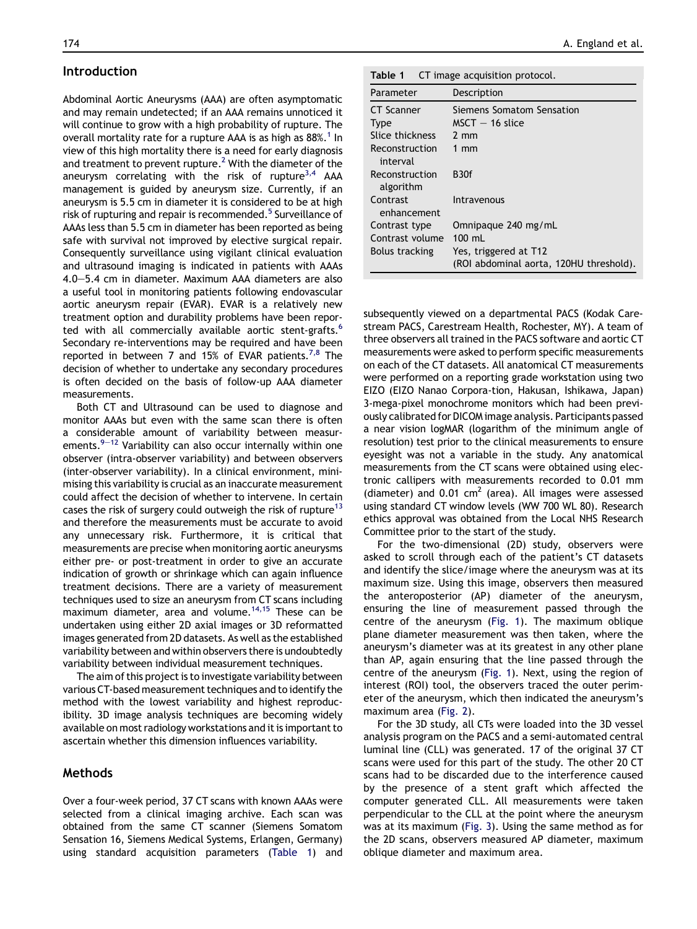#### Introduction

Abdominal Aortic Aneurysms (AAA) are often asymptomatic and may remain undetected; if an AAA remains unnoticed it will continue to grow with a high probability of rupture. The overall mortality rate for a rupture AAA is as high as 88%.<sup>[1](#page-7-0)</sup> In view of this high mortality there is a need for early diagnosis and treatment to prevent rupture.<sup>2</sup> With the diameter of the aneurysm correlating with the risk of rupture<sup>[3,4](#page-7-0)</sup> AAA management is guided by aneurysm size. Currently, if an aneurysm is 5.5 cm in diameter it is considered to be at high risk of rupturing and repair is recommended.<sup>5</sup> Surveillance of AAAs less than 5.5 cm in diameter has been reported as being safe with survival not improved by elective surgical repair. Consequently surveillance using vigilant clinical evaluation and ultrasound imaging is indicated in patients with AAAs  $4.0-5.4$  cm in diameter. Maximum AAA diameters are also a useful tool in monitoring patients following endovascular aortic aneurysm repair (EVAR). EVAR is a relatively new treatment option and durability problems have been reported with all commercially available aortic stent-grafts.<sup>6</sup> Secondary re-interventions may be required and have been reported in between 7 and 15% of EVAR patients.<sup>7,8</sup> The decision of whether to undertake any secondary procedures is often decided on the basis of follow-up AAA diameter measurements.

Both CT and Ultrasound can be used to diagnose and monitor AAAs but even with the same scan there is often a considerable amount of variability between measur[e](#page-7-0)ments. $9-12$  $9-12$  Variability can also occur internally within one observer (intra-observer variability) and between observers (inter-observer variability). In a clinical environment, minimising this variability is crucial as an inaccurate measurement could affect the decision of whether to intervene. In certain cases the risk of surgery could outweigh the risk of rupture<sup>13</sup> and therefore the measurements must be accurate to avoid any unnecessary risk. Furthermore, it is critical that measurements are precise when monitoring aortic aneurysms either pre- or post-treatment in order to give an accurate indication of growth or shrinkage which can again influence treatment decisions. There are a variety of measurement techniques used to size an aneurysm from CT scans including maximum diameter, area and volume.<sup>[14,15](#page-7-0)</sup> These can be undertaken using either 2D axial images or 3D reformatted images generated from 2D datasets. As well as the established variability between and within observers there is undoubtedly variability between individual measurement techniques.

The aim of this project is to investigate variability between various CT-based measurement techniques and to identify the method with the lowest variability and highest reproducibility. 3D image analysis techniques are becoming widely available on most radiology workstations and it is important to ascertain whether this dimension influences variability.

## Methods

Over a four-week period, 37 CT scans with known AAAs were selected from a clinical imaging archive. Each scan was obtained from the same CT scanner (Siemens Somatom Sensation 16, Siemens Medical Systems, Erlangen, Germany) using standard acquisition parameters (Table 1) and

| Table 1 | CT image acquisition protocol. |  |  |
|---------|--------------------------------|--|--|
|---------|--------------------------------|--|--|

| Parameter                   | Description                             |
|-----------------------------|-----------------------------------------|
| <b>CT Scanner</b>           | Siemens Somatom Sensation               |
| <b>Type</b>                 | $MSCT - 16$ slice                       |
| Slice thickness             | $2 \text{ mm}$                          |
| Reconstruction<br>interval  | $1 \text{ mm}$                          |
| Reconstruction<br>algorithm | <b>B30f</b>                             |
| Contrast<br>enhancement     | Intravenous                             |
| Contrast type               | Omnipaque 240 mg/mL                     |
| Contrast volume             | $100 \text{ ml}$                        |
| <b>Bolus tracking</b>       | Yes, triggered at T12                   |
|                             | (ROI abdominal aorta, 120HU threshold). |

subsequently viewed on a departmental PACS (Kodak Carestream PACS, Carestream Health, Rochester, MY). A team of three observers all trained in the PACS software and aortic CT measurements were asked to perform specific measurements on each of the CT datasets. All anatomical CT measurements were performed on a reporting grade workstation using two EIZO (EIZO Nanao Corpora-tion, Hakusan, Ishikawa, Japan) 3-mega-pixel monochrome monitors which had been previously calibrated for DICOM image analysis. Participants passed a near vision logMAR (logarithm of the minimum angle of resolution) test prior to the clinical measurements to ensure eyesight was not a variable in the study. Any anatomical measurements from the CT scans were obtained using electronic callipers with measurements recorded to 0.01 mm (diameter) and 0.01  $\text{cm}^2$  (area). All images were assessed using standard CT window levels (WW 700 WL 80). Research ethics approval was obtained from the Local NHS Research Committee prior to the start of the study.

For the two-dimensional (2D) study, observers were asked to scroll through each of the patient's CT datasets and identify the slice/image where the aneurysm was at its maximum size. Using this image, observers then measured the anteroposterior (AP) diameter of the aneurysm, ensuring the line of measurement passed through the centre of the aneurysm [\(Fig. 1\)](#page-2-0). The maximum oblique plane diameter measurement was then taken, where the aneurysm's diameter was at its greatest in any other plane than AP, again ensuring that the line passed through the centre of the aneurysm [\(Fig. 1](#page-2-0)). Next, using the region of interest (ROI) tool, the observers traced the outer perimeter of the aneurysm, which then indicated the aneurysm's maximum area [\(Fig. 2\)](#page-2-0).

For the 3D study, all CTs were loaded into the 3D vessel analysis program on the PACS and a semi-automated central luminal line (CLL) was generated. 17 of the original 37 CT scans were used for this part of the study. The other 20 CT scans had to be discarded due to the interference caused by the presence of a stent graft which affected the computer generated CLL. All measurements were taken perpendicular to the CLL at the point where the aneurysm was at its maximum ([Fig. 3](#page-2-0)). Using the same method as for the 2D scans, observers measured AP diameter, maximum oblique diameter and maximum area.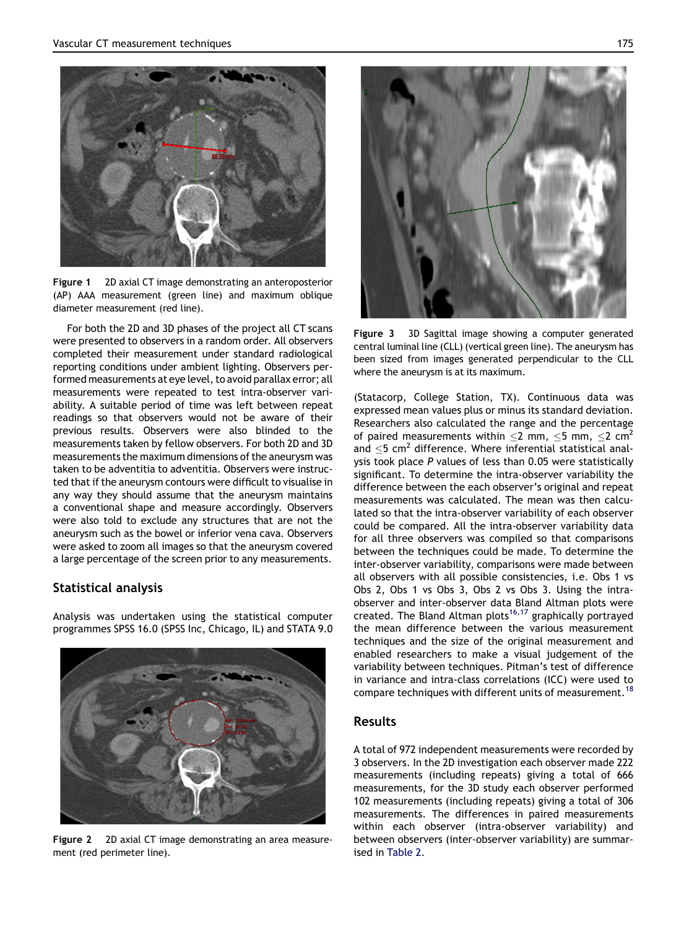<span id="page-2-0"></span>

Figure 1 2D axial CT image demonstrating an anteroposterior (AP) AAA measurement (green line) and maximum oblique diameter measurement (red line).

For both the 2D and 3D phases of the project all CT scans were presented to observers in a random order. All observers completed their measurement under standard radiological reporting conditions under ambient lighting. Observers performed measurements at eye level, to avoid parallax error; all measurements were repeated to test intra-observer variability. A suitable period of time was left between repeat readings so that observers would not be aware of their previous results. Observers were also blinded to the measurements taken by fellow observers. For both 2D and 3D measurements the maximum dimensions of the aneurysm was taken to be adventitia to adventitia. Observers were instructed that if the aneurysm contours were difficult to visualise in any way they should assume that the aneurysm maintains a conventional shape and measure accordingly. Observers were also told to exclude any structures that are not the aneurysm such as the bowel or inferior vena cava. Observers were asked to zoom all images so that the aneurysm covered a large percentage of the screen prior to any measurements.

## Statistical analysis

Analysis was undertaken using the statistical computer programmes SPSS 16.0 (SPSS Inc, Chicago, IL) and STATA 9.0



Figure 2 2D axial CT image demonstrating an area measurement (red perimeter line).



Figure 3 3D Sagittal image showing a computer generated central luminal line (CLL) (vertical green line). The aneurysm has been sized from images generated perpendicular to the CLL where the aneurysm is at its maximum.

(Statacorp, College Station, TX). Continuous data was expressed mean values plus or minus its standard deviation. Researchers also calculated the range and the percentage of paired measurements within  $\leq$  mm,  $\leq$  mm,  $\leq$  cm<sup>2</sup> and  $\leq$ 5 cm<sup>2</sup> difference. Where inferential statistical analysis took place P values of less than 0.05 were statistically significant. To determine the intra-observer variability the difference between the each observer's original and repeat measurements was calculated. The mean was then calculated so that the intra-observer variability of each observer could be compared. All the intra-observer variability data for all three observers was compiled so that comparisons between the techniques could be made. To determine the inter-observer variability, comparisons were made between all observers with all possible consistencies, i.e. Obs 1 vs Obs 2, Obs 1 vs Obs 3, Obs 2 vs Obs 3. Using the intraobserver and inter-observer data Bland Altman plots were created. The Bland Altman plots<sup>[16,17](#page-7-0)</sup> graphically portrayed the mean difference between the various measurement techniques and the size of the original measurement and enabled researchers to make a visual judgement of the variability between techniques. Pitman's test of difference in variance and intra-class correlations (ICC) were used to compare techniques with different units of measurement.<sup>[18](#page-7-0)</sup>

## Results

A total of 972 independent measurements were recorded by 3 observers. In the 2D investigation each observer made 222 measurements (including repeats) giving a total of 666 measurements, for the 3D study each observer performed 102 measurements (including repeats) giving a total of 306 measurements. The differences in paired measurements within each observer (intra-observer variability) and between observers (inter-observer variability) are summarised in [Table 2](#page-3-0).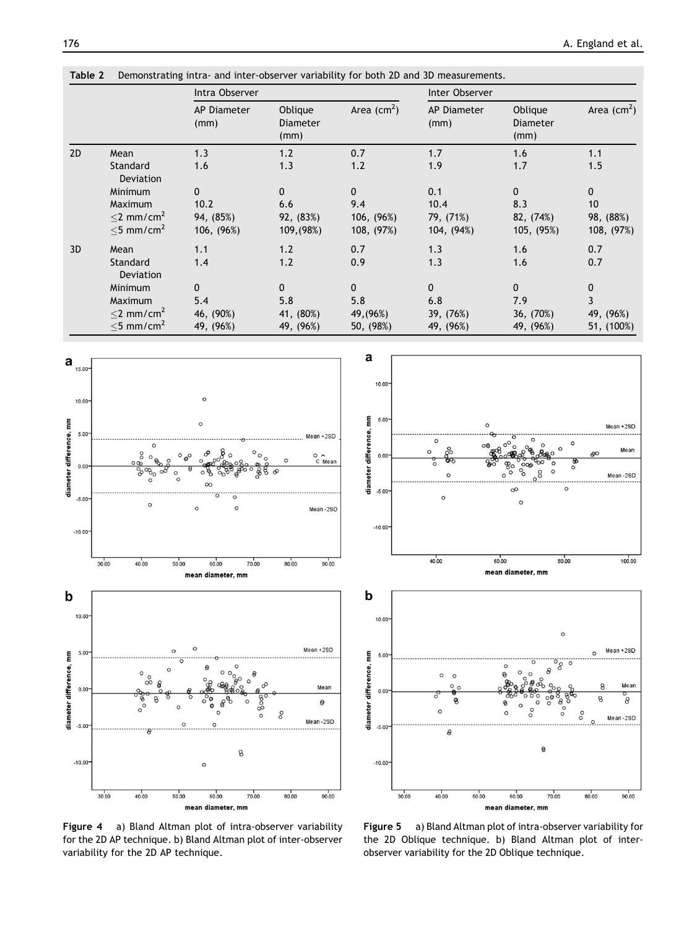<span id="page-3-0"></span>

|    |                                     | Intra Observer             |                                    |              | Inter Observer      |                                    |              |
|----|-------------------------------------|----------------------------|------------------------------------|--------------|---------------------|------------------------------------|--------------|
|    |                                     | <b>AP Diameter</b><br>(mm) | Oblique<br><b>Diameter</b><br>(mm) | Area $(cm2)$ | AP Diameter<br>(mm) | Oblique<br><b>Diameter</b><br>(mm) | Area $(cm2)$ |
| 2D | Mean                                | 1.3                        | 1.2                                | 0.7          | 1.7                 | 1.6                                | 1.1          |
|    | Standard<br><b>Deviation</b>        | 1.6                        | 1.3                                | 1.2          | 1.9                 | 1.7                                | 1.5          |
|    | Minimum                             | 0                          | 0                                  | 0            | 0.1                 | $\mathbf 0$                        | $\mathbf 0$  |
|    | Maximum                             | 10.2                       | 6.6                                | 9.4          | 10.4                | 8.3                                | 10           |
|    | $<$ 2 mm/cm <sup>2</sup>            | 94, (85%)                  | 92, (83%)                          | 106, (96%)   | 79, (71%)           | 82, (74%)                          | 98, (88%)    |
|    | $<$ 5 mm/cm <sup>2</sup>            | 106, (96%)                 | 109, (98%)                         | 108, (97%)   | 104, (94%)          | 105, (95%)                         | 108, (97%)   |
| 3D | Mean                                | 1.1                        | 1.2                                | 0.7          | 1.3                 | 1.6                                | 0.7          |
|    | <b>Standard</b><br><b>Deviation</b> | 1.4                        | 1.2                                | 0.9          | 1.3                 | 1.6                                | 0.7          |
|    | Minimum                             | 0                          | $\mathbf{0}$                       | $\Omega$     | $\Omega$            | $\mathbf{0}$                       | $\mathbf 0$  |
|    | Maximum                             | 5.4                        | 5.8                                | 5.8          | 6.8                 | 7.9                                | 3            |
|    | $<$ 2 mm/cm <sup>2</sup>            | 46, (90%)                  | 41, (80%)                          | 49, (96%)    | 39, (76%)           | 36, (70%)                          | 49, (96%)    |
|    | $\leq$ 5 mm/cm <sup>2</sup>         | 49, (96%)                  | 49, (96%)                          | 50, (98%)    | 49, (96%)           | 49, (96%)                          | 51, (100%)   |





Figure 4 a) Bland Altman plot of intra-observer variability for the 2D AP technique. b) Bland Altman plot of inter-observer variability for the 2D AP technique.

Figure 5 a) Bland Altman plot of intra-observer variability for the 2D Oblique technique. b) Bland Altman plot of interobserver variability for the 2D Oblique technique.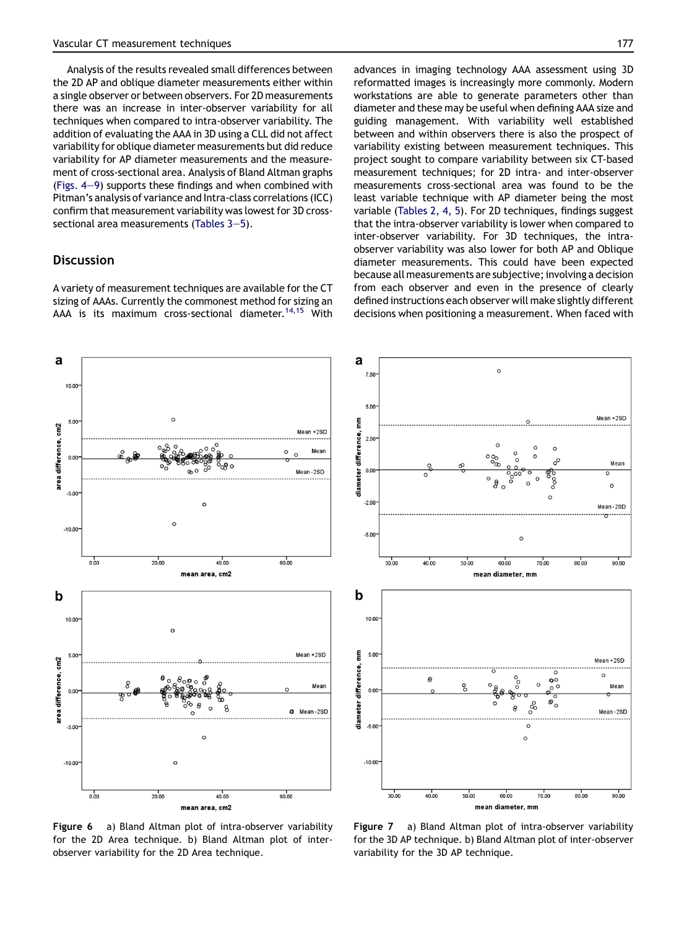Analysis of the results revealed small differences between the 2D AP and oblique diameter measurements either within a single observer or between observers. For 2D measurements there was an increase in inter-observer variability for all techniques when compared to intra-observer variability. The addition of evaluating the AAA in 3D using a CLL did not affect variability for oblique diameter measurements but did reduce variability for AP diameter measurements and the measurement of cross-sectional area. Analysis of Bland Altman graphs (Figs.  $4-9$  $4-9$ ) supports these findings and when combined with Pitman's analysis of variance and Intra-class correlations (ICC) confirm that measurement variability was lowest for 3D crosssectional area measurements (Tables  $3-5$ ).

#### **Discussion**

A variety of measurement techniques are available for the CT sizing of AAAs. Currently the commonest method for sizing an AAA is its maximum cross-sectional diameter.<sup>[14,15](#page-7-0)</sup> With advances in imaging technology AAA assessment using 3D reformatted images is increasingly more commonly. Modern workstations are able to generate parameters other than diameter and these may be useful when defining AAA size and guiding management. With variability well established between and within observers there is also the prospect of variability existing between measurement techniques. This project sought to compare variability between six CT-based measurement techniques; for 2D intra- and inter-observer measurements cross-sectional area was found to be the least variable technique with AP diameter being the most variable [\(Tables 2, 4, 5](#page-3-0)). For 2D techniques, findings suggest that the intra-observer variability is lower when compared to inter-observer variability. For 3D techniques, the intraobserver variability was also lower for both AP and Oblique diameter measurements. This could have been expected because all measurements are subjective; involvinga decision from each observer and even in the presence of clearly defined instructions each observer will make slightly different decisions when positioning a measurement. When faced with



Figure 6 a) Bland Altman plot of intra-observer variability for the 2D Area technique. b) Bland Altman plot of interobserver variability for the 2D Area technique.



Figure 7 a) Bland Altman plot of intra-observer variability for the 3D AP technique. b) Bland Altman plot of inter-observer variability for the 3D AP technique.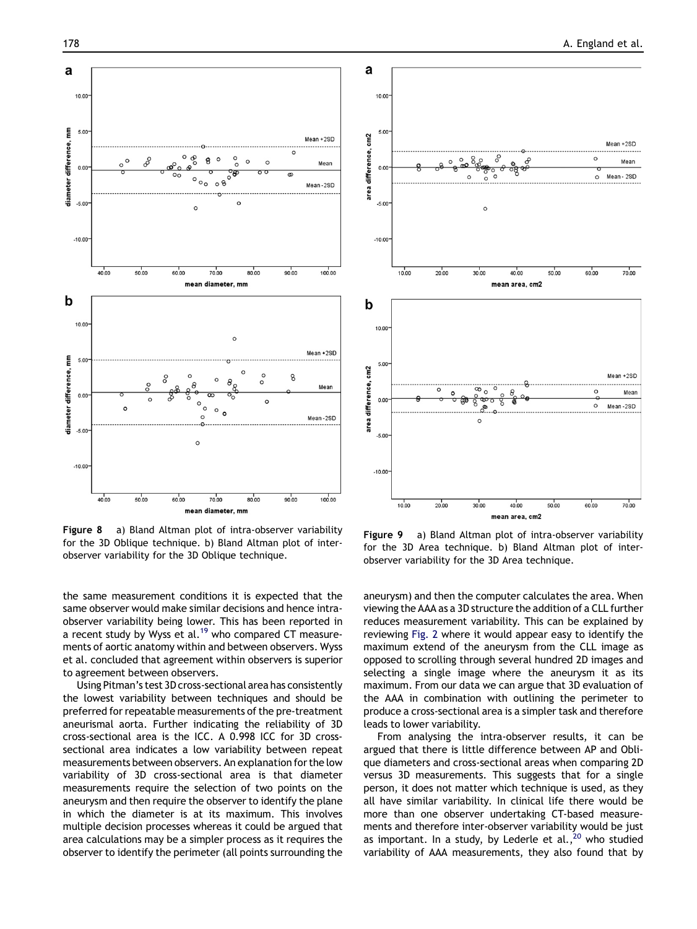

Figure 8 a) Bland Altman plot of intra-observer variability for the 3D Oblique technique. b) Bland Altman plot of interobserver variability for the 3D Oblique technique.

the same measurement conditions it is expected that the same observer would make similar decisions and hence intraobserver variability being lower. This has been reported in a recent study by Wyss et al.<sup>19</sup> who compared CT measurements of aortic anatomy within and between observers. Wyss et al. concluded that agreement within observers is superior to agreement between observers.

Using Pitman's test 3D cross-sectional area has consistently the lowest variability between techniques and should be preferred for repeatable measurements of the pre-treatment aneurismal aorta. Further indicating the reliability of 3D cross-sectional area is the ICC. A 0.998 ICC for 3D crosssectional area indicates a low variability between repeat measurements between observers. An explanation for the low variability of 3D cross-sectional area is that diameter measurements require the selection of two points on the aneurysm and then require the observer to identify the plane in which the diameter is at its maximum. This involves multiple decision processes whereas it could be argued that area calculations may be a simpler process as it requires the observer to identify the perimeter (all points surrounding the



Figure 9 a) Bland Altman plot of intra-observer variability for the 3D Area technique. b) Bland Altman plot of interobserver variability for the 3D Area technique.

aneurysm) and then the computer calculates the area. When viewing the AAA as a 3D structure the addition of a CLL further reduces measurement variability. This can be explained by reviewing [Fig. 2](#page-2-0) where it would appear easy to identify the maximum extend of the aneurysm from the CLL image as opposed to scrolling through several hundred 2D images and selecting a single image where the aneurysm it as its maximum. From our data we can argue that 3D evaluation of the AAA in combination with outlining the perimeter to produce a cross-sectional area is a simpler task and therefore leads to lower variability.

From analysing the intra-observer results, it can be argued that there is little difference between AP and Oblique diameters and cross-sectional areas when comparing 2D versus 3D measurements. This suggests that for a single person, it does not matter which technique is used, as they all have similar variability. In clinical life there would be more than one observer undertaking CT-based measurements and therefore inter-observer variability would be just as important. In a study, by Lederle et al., $^{20}$  $^{20}$  $^{20}$  who studied variability of AAA measurements, they also found that by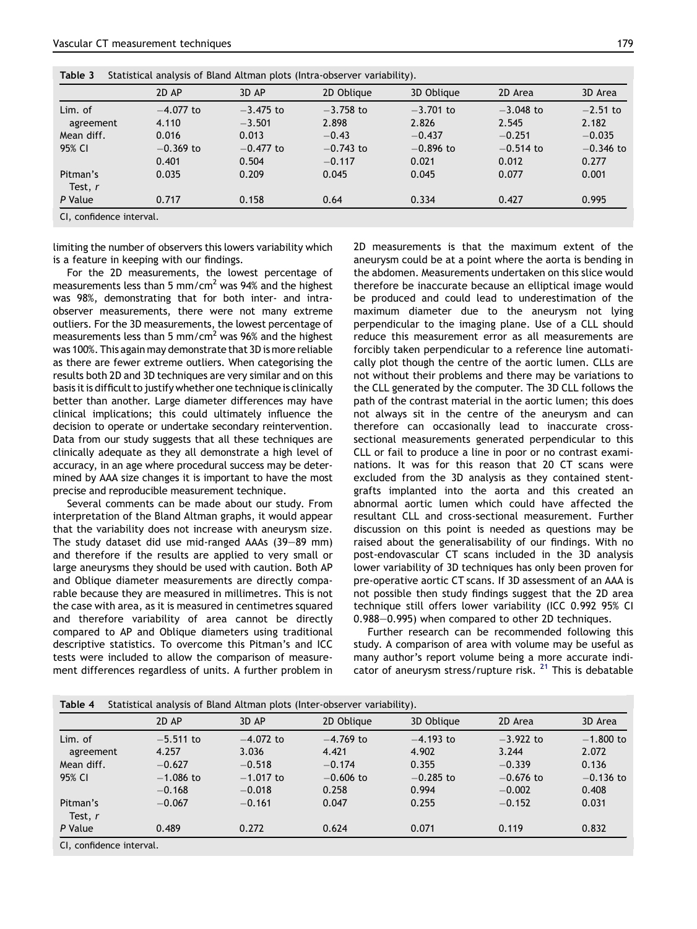<span id="page-6-0"></span>

| Table 3<br>Statistical analysis of Bland Altman plots (Intra-observer variability). |                      |                         |                         |                      |                      |                      |  |
|-------------------------------------------------------------------------------------|----------------------|-------------------------|-------------------------|----------------------|----------------------|----------------------|--|
|                                                                                     | 2D AP                | 3D AP                   | 2D Oblique              | 3D Oblique           | 2D Area              | 3D Area              |  |
| Lim. of<br>agreement                                                                | $-4.077$ to<br>4.110 | $-3.475$ to<br>$-3.501$ | $-3.758$ to<br>2.898    | $-3.701$ to<br>2.826 | $-3.048$ to<br>2.545 | $-2.51$ to<br>2.182  |  |
| Mean diff.                                                                          | 0.016                | 0.013                   | $-0.43$                 | $-0.437$             | $-0.251$             | $-0.035$             |  |
| 95% CI                                                                              | $-0.369$ to<br>0.401 | $-0.477$ to<br>0.504    | $-0.743$ to<br>$-0.117$ | $-0.896$ to<br>0.021 | $-0.514$ to<br>0.012 | $-0.346$ to<br>0.277 |  |
| Pitman's<br>Test, r                                                                 | 0.035                | 0.209                   | 0.045                   | 0.045                | 0.077                | 0.001                |  |
| P Value                                                                             | 0.717                | 0.158                   | 0.64                    | 0.334                | 0.427                | 0.995                |  |

CI, confidence interval.

limiting the number of observers this lowers variability which is a feature in keeping with our findings.

For the 2D measurements, the lowest percentage of measurements less than 5 mm/cm<sup>2</sup> was 94% and the highest was 98%, demonstrating that for both inter- and intraobserver measurements, there were not many extreme outliers. For the 3D measurements, the lowest percentage of measurements less than 5 mm/cm<sup>2</sup> was 96% and the highest was 100%. This again may demonstrate that 3D is more reliable as there are fewer extreme outliers. When categorising the results both 2D and 3D techniques are very similar and on this basis it is difficult to justify whether one technique is clinically better than another. Large diameter differences may have clinical implications; this could ultimately influence the decision to operate or undertake secondary reintervention. Data from our study suggests that all these techniques are clinically adequate as they all demonstrate a high level of accuracy, in an age where procedural success may be determined by AAA size changes it is important to have the most precise and reproducible measurement technique.

Several comments can be made about our study. From interpretation of the Bland Altman graphs, it would appear that the variability does not increase with aneurysm size. The study dataset did use mid-ranged AAAs  $(39-89$  mm) and therefore if the results are applied to very small or large aneurysms they should be used with caution. Both AP and Oblique diameter measurements are directly comparable because they are measured in millimetres. This is not the case with area, as it is measured in centimetres squared and therefore variability of area cannot be directly compared to AP and Oblique diameters using traditional descriptive statistics. To overcome this Pitman's and ICC tests were included to allow the comparison of measurement differences regardless of units. A further problem in 2D measurements is that the maximum extent of the aneurysm could be at a point where the aorta is bending in the abdomen. Measurements undertaken on this slice would therefore be inaccurate because an elliptical image would be produced and could lead to underestimation of the maximum diameter due to the aneurysm not lying perpendicular to the imaging plane. Use of a CLL should reduce this measurement error as all measurements are forcibly taken perpendicular to a reference line automatically plot though the centre of the aortic lumen. CLLs are not without their problems and there may be variations to the CLL generated by the computer. The 3D CLL follows the path of the contrast material in the aortic lumen; this does not always sit in the centre of the aneurysm and can therefore can occasionally lead to inaccurate crosssectional measurements generated perpendicular to this CLL or fail to produce a line in poor or no contrast examinations. It was for this reason that 20 CT scans were excluded from the 3D analysis as they contained stentgrafts implanted into the aorta and this created an abnormal aortic lumen which could have affected the resultant CLL and cross-sectional measurement. Further discussion on this point is needed as questions may be raised about the generalisability of our findings. With no post-endovascular CT scans included in the 3D analysis lower variability of 3D techniques has only been proven for pre-operative aortic CT scans. If 3D assessment of an AAA is not possible then study findings suggest that the 2D area technique still offers lower variability (ICC 0.992 95% CI 0.988-0.995) when compared to other 2D techniques.

Further research can be recommended following this study. A comparison of area with volume may be useful as many author's report volume being a more accurate indi-cator of aneurysm stress/rupture risk. <sup>[21](#page-8-0)</sup> This is debatable

|                      | 2D AP                   | 3D AP                   | 2D Oblique           | 3D Oblique           | 2D Area                 | 3D Area              |
|----------------------|-------------------------|-------------------------|----------------------|----------------------|-------------------------|----------------------|
| Lim. of<br>agreement | $-5.511$ to<br>4.257    | $-4.072$ to<br>3.036    | $-4.769$ to<br>4.421 | $-4.193$ to<br>4.902 | $-3.922$ to<br>3.244    | $-1.800$ to<br>2.072 |
| Mean diff.           | $-0.627$                | $-0.518$                | $-0.174$             | 0.355                | $-0.339$                | 0.136                |
| 95% CI               | $-1.086$ to<br>$-0.168$ | $-1.017$ to<br>$-0.018$ | $-0.606$ to<br>0.258 | $-0.285$ to<br>0.994 | $-0.676$ to<br>$-0.002$ | $-0.136$ to<br>0.408 |
| Pitman's<br>Test, r  | $-0.067$                | $-0.161$                | 0.047                | 0.255                | $-0.152$                | 0.031                |
| P Value              | 0.489                   | 0.272                   | 0.624                | 0.071                | 0.119                   | 0.832                |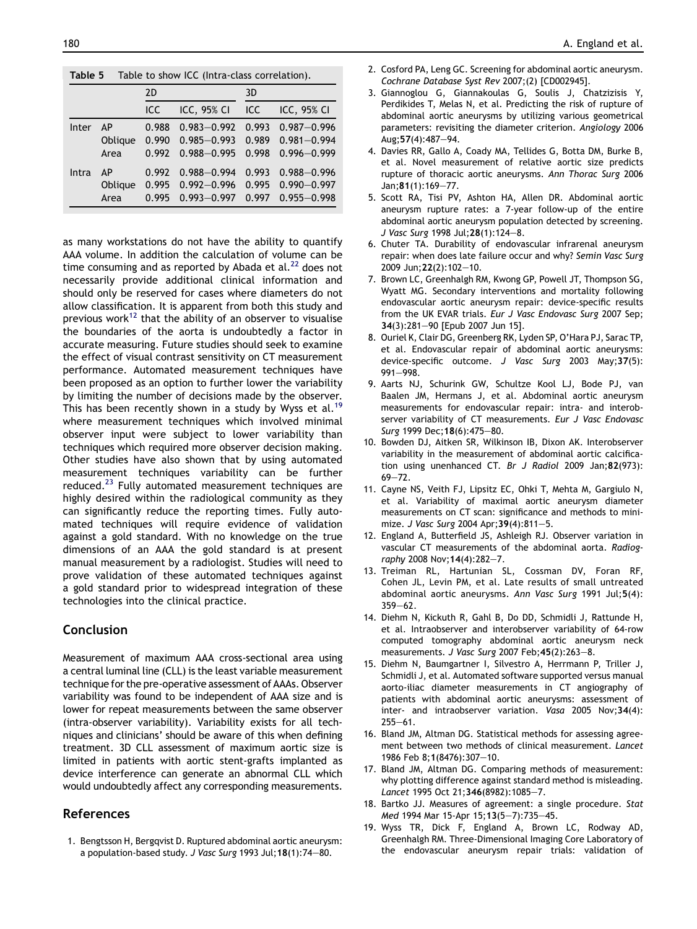<span id="page-7-0"></span>Table 5 Table to show ICC (Intra-class correlation).

|              |            | 2D   |                                                                                                                                                   | 3D |  |  |
|--------------|------------|------|---------------------------------------------------------------------------------------------------------------------------------------------------|----|--|--|
|              |            | ICC. | $ICC$ , 95% $CI$ $ICC$ $ICC$ , 95% $CI$                                                                                                           |    |  |  |
| <b>Inter</b> | AP<br>Area |      | $0.988$ $0.983 - 0.992$ $0.993$ $0.987 - 0.996$<br>Oblique 0.990 0.985-0.993 0.989 0.981-0.994<br>$0.992$ $0.988 - 0.995$ $0.998$ $0.996 - 0.999$ |    |  |  |
| Intra        | Area       |      | AP 0.992 0.988-0.994 0.993 0.988-0.996<br>Oblique 0.995 0.992-0.996 0.995 0.990-0.997<br>$0.995$ $0.993 - 0.997$ $0.997$ $0.955 - 0.998$          |    |  |  |

as many workstations do not have the ability to quantify AAA volume. In addition the calculation of volume can be time consuming and as reported by Abada et al. $^{22}$  $^{22}$  $^{22}$  does not necessarily provide additional clinical information and should only be reserved for cases where diameters do not allow classification. It is apparent from both this study and previous work<sup>12</sup> that the ability of an observer to visualise the boundaries of the aorta is undoubtedly a factor in accurate measuring. Future studies should seek to examine the effect of visual contrast sensitivity on CT measurement performance. Automated measurement techniques have been proposed as an option to further lower the variability by limiting the number of decisions made by the observer. This has been recently shown in a study by Wyss et al.<sup>19</sup> where measurement techniques which involved minimal observer input were subject to lower variability than techniques which required more observer decision making. Other studies have also shown that by using automated measurement techniques variability can be further reduced.<sup>[23](#page-8-0)</sup> Fully automated measurement techniques are highly desired within the radiological community as they can significantly reduce the reporting times. Fully automated techniques will require evidence of validation against a gold standard. With no knowledge on the true dimensions of an AAA the gold standard is at present manual measurement by a radiologist. Studies will need to prove validation of these automated techniques against a gold standard prior to widespread integration of these technologies into the clinical practice.

## Conclusion

Measurement of maximum AAA cross-sectional area using a central luminal line (CLL) is the least variable measurement technique for the pre-operative assessment of AAAs. Observer variability was found to be independent of AAA size and is lower for repeat measurements between the same observer (intra-observer variability). Variability exists for all techniques and clinicians' should be aware of this when defining treatment. 3D CLL assessment of maximum aortic size is limited in patients with aortic stent-grafts implanted as device interference can generate an abnormal CLL which would undoubtedly affect any corresponding measurements.

#### References

1. Bengtsson H, Bergqvist D. Ruptured abdominal aortic aneurysm: a population-based study. J Vasc Surg 1993 Jul;  $18(1)$ :  $74-80$ .

- 2. Cosford PA, Leng GC. Screening for abdominal aortic aneurysm. Cochrane Database Syst Rev 2007;(2) [CD002945].
- 3. Giannoglou G, Giannakoulas G, Soulis J, Chatzizisis Y, Perdikides T, Melas N, et al. Predicting the risk of rupture of abdominal aortic aneurysms by utilizing various geometrical parameters: revisiting the diameter criterion. Angiology 2006 Aug; 57(4): 487-94.
- 4. Davies RR, Gallo A, Coady MA, Tellides G, Botta DM, Burke B, et al. Novel measurement of relative aortic size predicts rupture of thoracic aortic aneurysms. Ann Thorac Surg 2006 Jan; 81(1): 169-77.
- 5. Scott RA, Tisi PV, Ashton HA, Allen DR. Abdominal aortic aneurysm rupture rates: a 7-year follow-up of the entire abdominal aortic aneurysm population detected by screening. J Vasc Surg 1998 Jul; 28(1): 124-8.
- 6. Chuter TA. Durability of endovascular infrarenal aneurysm repair: when does late failure occur and why? Semin Vasc Surg 2009 Jun; 22(2): 102-10.
- 7. Brown LC, Greenhalgh RM, Kwong GP, Powell JT, Thompson SG, Wyatt MG. Secondary interventions and mortality following endovascular aortic aneurysm repair: device-specific results from the UK EVAR trials. Eur J Vasc Endovasc Surg 2007 Sep; 34(3):281-90 [Epub 2007 Jun 15].
- 8. Ouriel K, Clair DG, Greenberg RK, Lyden SP, O'Hara PJ, Sarac TP, et al. Endovascular repair of abdominal aortic aneurysms: device-specific outcome. J Vasc Surg 2003 May;37(5): 991-998.
- 9. Aarts NJ, Schurink GW, Schultze Kool LJ, Bode PJ, van Baalen JM, Hermans J, et al. Abdominal aortic aneurysm measurements for endovascular repair: intra- and interobserver variability of CT measurements. Eur J Vasc Endovasc Surg 1999 Dec; 18(6): 475-80.
- 10. Bowden DJ, Aitken SR, Wilkinson IB, Dixon AK. Interobserver variability in the measurement of abdominal aortic calcification using unenhanced CT. Br J Radiol 2009 Jan;82(973):  $69 - 72.$
- 11. Cayne NS, Veith FJ, Lipsitz EC, Ohki T, Mehta M, Gargiulo N, et al. Variability of maximal aortic aneurysm diameter measurements on CT scan: significance and methods to minimize. J Vasc Surg 2004 Apr; 39(4): 811-5.
- 12. England A, Butterfield JS, Ashleigh RJ. Observer variation in vascular CT measurements of the abdominal aorta. Radiography 2008 Nov;  $14(4):282-7$ .
- 13. Treiman RL, Hartunian SL, Cossman DV, Foran RF, Cohen JL, Levin PM, et al. Late results of small untreated abdominal aortic aneurysms. Ann Vasc Surg 1991 Jul;5(4):  $359 - 62$ .
- 14. Diehm N, Kickuth R, Gahl B, Do DD, Schmidli J, Rattunde H, et al. Intraobserver and interobserver variability of 64-row computed tomography abdominal aortic aneurysm neck measurements. J Vasc Surg 2007 Feb;  $45(2):263-8$ .
- 15. Diehm N, Baumgartner I, Silvestro A, Herrmann P, Triller J, Schmidli J, et al. Automated software supported versus manual aorto-iliac diameter measurements in CT angiography of patients with abdominal aortic aneurysms: assessment of inter- and intraobserver variation. Vasa 2005 Nov;34(4): 255-61
- 16. Bland JM, Altman DG. Statistical methods for assessing agreement between two methods of clinical measurement. Lancet 1986 Feb 8;1(8476):307-10.
- 17. Bland JM, Altman DG. Comparing methods of measurement: why plotting difference against standard method is misleading. Lancet 1995 Oct 21;346(8982):1085-7.
- 18. Bartko JJ. Measures of agreement: a single procedure. Stat Med 1994 Mar 15-Apr 15;13(5-7):735-45.
- 19. Wyss TR, Dick F, England A, Brown LC, Rodway AD, Greenhalgh RM. Three-Dimensional Imaging Core Laboratory of the endovascular aneurysm repair trials: validation of